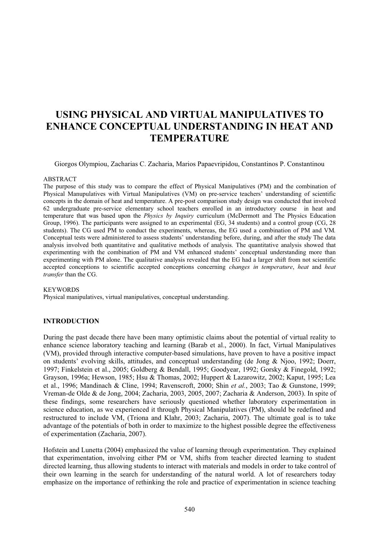# **USING PHYSICAL AND VIRTUAL MANIPULATIVES TO ENHANCE CONCEPTUAL UNDERSTANDING IN HEAT AND TEMPERATURE**

Giorgos Olympiou, Zacharias C. Zacharia, Marios Papaevripidou, Constantinos P. Constantinou

#### ABSTRACT

The purpose of this study was to compare the effect of Physical Manipulatives (PM) and the combination of Physical Manupulatives with Virtual Manipulatives (VM) on pre-service teachers' understanding of scientific concepts in the domain of heat and temperature. A pre-post comparison study design was conducted that involved 62 undergraduate pre-service elementary school teachers enrolled in an introductory course in heat and temperature that was based upon the *Physics by Inquiry* curriculum (McDermott and The Physics Education Group, 1996). The participants were assigned to an experimental (EG, 34 students) and a control group (CG, 28 students). The CG used PM to conduct the experiments, whereas, the EG used a combination of PM and VM*.* Conceptual tests were administered to assess students' understanding before, during, and after the study The data analysis involved both quantitative and qualitative methods of analysis. The quantitative analysis showed that experimenting with the combination of PM and VM enhanced students' conceptual understanding more than experimenting with PM alone. The qualitative analysis revealed that the EG had a larger shift from not scientific accepted conceptions to scientific accepted conceptions concerning *changes in temperature*, *heat* and *heat transfer* than the CG.

#### **KEYWORDS**

Physical manipulatives, virtual manipulatives, conceptual understanding.

# **INTRODUCTION**

During the past decade there have been many optimistic claims about the potential of virtual reality to enhance science laboratory teaching and learning (Barab et al., 2000). In fact, Virtual Manipulatives (VM), provided through interactive computer-based simulations, have proven to have a positive impact on students' evolving skills, attitudes, and conceptual understanding (de Jong & Njoo, 1992; Doerr, 1997; Finkelstein et al., 2005; Goldberg & Bendall, 1995; Goodyear, 1992; Gorsky & Finegold, 1992; Grayson, 1996a; Hewson, 1985; Hsu & Thomas, 2002; Huppert & Lazarowitz, 2002; Kaput, 1995; Lea et al., 1996; Mandinach & Cline, 1994; Ravenscroft, 2000; Shin *et al.*, 2003; Tao & Gunstone, 1999; Vreman-de Olde & de Jong, 2004; Zacharia, 2003, 2005, 2007; Zacharia & Anderson, 2003). In spite of these findings, some researchers have seriously questioned whether laboratory experimentation in science education, as we experienced it through Physical Manipulatives (PM), should be redefined and restructured to include VM, (Triona and Klahr, 2003; Zacharia, 2007). The ultimate goal is to take advantage of the potentials of both in order to maximize to the highest possible degree the effectiveness of experimentation (Zacharia, 2007).

Hofstein and Lunetta (2004) emphasized the value of learning through experimentation. They explained that experimentation, involving either PM or VM, shifts from teacher directed learning to student directed learning, thus allowing students to interact with materials and models in order to take control of their own learning in the search for understanding of the natural world. A lot of researchers today emphasize on the importance of rethinking the role and practice of experimentation in science teaching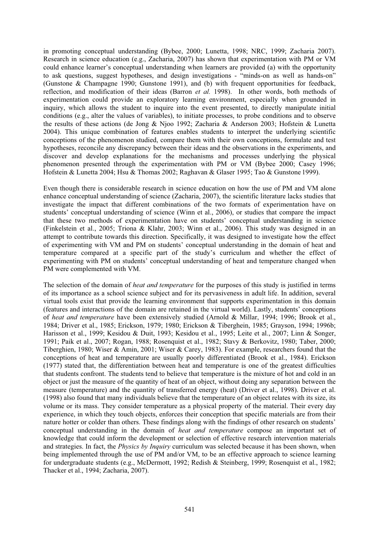in promoting conceptual understanding (Bybee, 2000; Lunetta, 1998; NRC, 1999; Zacharia 2007). Research in science education (e.g., Zacharia, 2007) has shown that experimentation with PM or VM could enhance learner's conceptual understanding when learners are provided (a) with the opportunity to ask questions, suggest hypotheses, and design investigations - "minds-on as well as hands-on" (Gunstone & Champagne 1990; Gunstone 1991), and (b) with frequent opportunities for feedback, reflection, and modification of their ideas (Barron *et al.* 1998). In other words, both methods of experimentation could provide an exploratory learning environment, especially when grounded in inquiry, which allows the student to inquire into the event presented, to directly manipulate initial conditions (e.g., alter the values of variables), to initiate processes, to probe conditions and to observe the results of these actions (de Jong & Njoo 1992; Zacharia & Anderson 2003; Hofstein & Lunetta 2004). This unique combination of features enables students to interpret the underlying scientific conceptions of the phenomenon studied, compare them with their own conceptions, formulate and test hypotheses, reconcile any discrepancy between their ideas and the observations in the experiments, and discover and develop explanations for the mechanisms and processes underlying the physical phenomenon presented through the experimentation with PM or VM (Bybee 2000; Casey 1996; Hofstein & Lunetta 2004; Hsu & Thomas 2002; Raghavan & Glaser 1995; Tao & Gunstone 1999).

Even though there is considerable research in science education on how the use of PM and VM alone enhance conceptual understanding of science (Zacharia, 2007), the scientific literature lacks studies that investigate the impact that different combinations of the two formats of experimentation have on students' conceptual understanding of science (Winn et al., 2006), or studies that compare the impact that these two methods of experimentation have on students' conceptual understanding in science (Finkelstein et al., 2005; Triona & Klahr, 2003; Winn et al., 2006). This study was designed in an attempt to contribute towards this direction. Specifically, it was designed to investigate how the effect of experimenting with VM and PM on students' conceptual understanding in the domain of heat and temperature compared at a specific part of the study's curriculum and whether the effect of experimenting with PM on students' conceptual understanding of heat and temperature changed when PM were complemented with VM.

The selection of the domain of *heat and temperature* for the purposes of this study is justified in terms of its importance as a school science subject and for its pervasiveness in adult life. In addition, several virtual tools exist that provide the learning environment that supports experimentation in this domain (features and interactions of the domain are retained in the virtual world). Lastly, students' conceptions of *heat and temperature* have been extensively studied (Arnold & Millar, 1994; 1996; Brook et al., 1984; Driver et al., 1985; Erickson, 1979; 1980; Erickson & Tiberghein, 1985; Grayson, 1994; 1996b; Harisson et al., 1999; Kesidou & Duit, 1993; Kesidou et al., 1995; Leite et al., 2007; Linn & Songer, 1991; Paik et al., 2007; Rogan, 1988; Rosenquist et al., 1982; Stavy & Berkovitz, 1980; Taber, 2000; Tiberghien, 1980; Wiser & Amin, 2001; Wiser & Carey, 1983). For example, researchers found that the conceptions of heat and temperature are usually poorly differentiated (Brook et al., 1984). Erickson (1977) stated that, the differentiation between heat and temperature is one of the greatest difficulties that students confront. The students tend to believe that temperature is the mixture of hot and cold in an object or just the measure of the quantity of heat of an object, without doing any separation between the measure (temperature) and the quantity of transferred energy (heat) (Driver et al., 1998). Driver et al. (1998) also found that many individuals believe that the temperature of an object relates with its size, its volume or its mass. They consider temperature as a physical property of the material. Their every day experience, in which they touch objects, enforces their conception that specific materials are from their nature hotter or colder than others. These findings along with the findings of other research on students' conceptual understanding in the domain of *heat and temperature* compose an important set of knowledge that could inform the development or selection of effective research intervention materials and strategies. In fact, the *Physics by Inquiry* curriculum was selected because it has been shown, when being implemented through the use of PM and/or VM, to be an effective approach to science learning for undergraduate students (e.g., McDermott, 1992; Redish & Steinberg, 1999; Rosenquist et al., 1982; Thacker et al., 1994; Zacharia, 2007).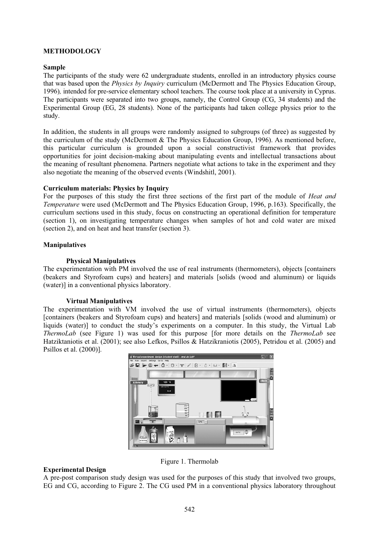## **METHODOLOGY**

#### **Sample**

The participants of the study were 62 undergraduate students, enrolled in an introductory physics course that was based upon the *Physics by Inquiry* curriculum (McDermott and The Physics Education Group, 1996)*,* intended for pre-service elementary school teachers. The course took place at a university in Cyprus. The participants were separated into two groups, namely, the Control Group (CG, 34 students) and the Experimental Group (EG, 28 students). None of the participants had taken college physics prior to the study.

In addition, the students in all groups were randomly assigned to subgroups (of three) as suggested by the curriculum of the study (McDermott & The Physics Education Group, 1996). As mentioned before, this particular curriculum is grounded upon a social constructivist framework that provides opportunities for joint decision-making about manipulating events and intellectual transactions about the meaning of resultant phenomena. Partners negotiate what actions to take in the experiment and they also negotiate the meaning of the observed events (Windshitl, 2001).

# **Curriculum materials: Physics by Inquiry**

For the purposes of this study the first three sections of the first part of the module of *Heat and Temperature* were used (McDermott and The Physics Education Group, 1996, p.163). Specifically, the curriculum sections used in this study, focus on constructing an operational definition for temperature (section 1), on investigating temperature changes when samples of hot and cold water are mixed (section 2), and on heat and heat transfer (section 3).

### **Manipulatives**

### **Physical Manipulatives**

The experimentation with PM involved the use of real instruments (thermometers), objects [containers (beakers and Styrofoam cups) and heaters] and materials [solids (wood and aluminum) or liquids (water)] in a conventional physics laboratory.

#### **Virtual Manipulatives**

The experimentation with VM involved the use of virtual instruments (thermometers), objects [containers (beakers and Styrofoam cups) and heaters] and materials [solids (wood and aluminum) or liquids (water)] to conduct the study's experiments on a computer. In this study, the Virtual Lab *ThermoLab* (see Figure 1) was used for this purpose [for more details on the *ThermoLab* see Hatziktaniotis et al. (2001); see also Lefkos, Psillos & Hatzikraniotis (2005), Petridou et al. (2005) and Psillos et al. (2000)].



# **Experimental Design**

A pre-post comparison study design was used for the purposes of this study that involved two groups, EG and CG, according to Figure 2. The CG used PM in a conventional physics laboratory throughout

Figure 1. Thermolab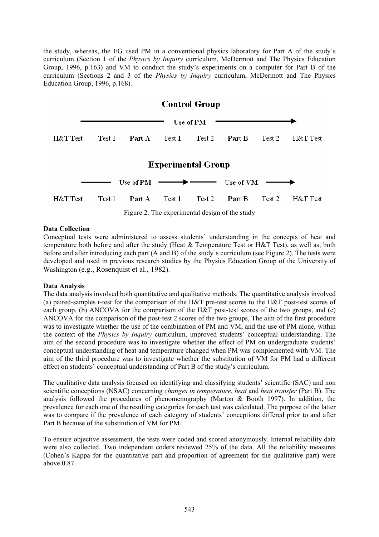the study, whereas, the EG used PM in a conventional physics laboratory for Part A of the study's curriculum (Section 1 of the *Physics by Inquiry* curriculum, McDermott and The Physics Education Group, 1996, p.163) and VM to conduct the study's experiments on a computer for Part B of the curriculum (Sections 2 and 3 of the *Physics by Inquiry* curriculum, McDermott and The Physics Education Group, 1996, p.168).



Figure 2. The experimental design of the study

# **Data Collection**

Conceptual tests were administered to assess students' understanding in the concepts of heat and temperature both before and after the study (Heat & Temperature Test or H&T Test), as well as, both before and after introducing each part (A and B) of the study's curriculum (see Figure 2). The tests were developed and used in previous research studies by the Physics Education Group of the University of Washington (e.g., Rosenquist et al., 1982).

# **Data Analysis**

The data analysis involved both quantitative and qualitative methods. The quantitative analysis involved (a) paired-samples t-test for the comparison of the H&T pre-test scores to the H&T post-test scores of each group, (b) ANCOVA for the comparison of the H&T post-test scores of the two groups, and (c) ANCOVA for the comparison of the post-test 2 scores of the two groups, The aim of the first procedure was to investigate whether the use of the combination of PM and VM, and the use of PM alone, within the context of the *Physics by Inquiry* curriculum, improved students' conceptual understanding. The aim of the second procedure was to investigate whether the effect of PM on undergraduate students' conceptual understanding of heat and temperature changed when PM was complemented with VM. The aim of the third procedure was to investigate whether the substitution of VM for PM had a different effect on students' conceptual understanding of Part B of the study's curriculum.

The qualitative data analysis focused on identifying and classifying students' scientific (SAC) and non scientific conceptions (NSAC) concerning *changes in temperature*, *heat* and *heat transfer* (Part B). The analysis followed the procedures of phenomenography (Marton & Booth 1997). In addition, the prevalence for each one of the resulting categories for each test was calculated. The purpose of the latter was to compare if the prevalence of each category of students' conceptions differed prior to and after Part B because of the substitution of VM for PM.

To ensure objective assessment, the tests were coded and scored anonymously. Internal reliability data were also collected. Two independent coders reviewed 25% of the data. All the reliability measures (Cohen's Kappa for the quantitative part and proportion of agreement for the qualitative part) were above 0.87.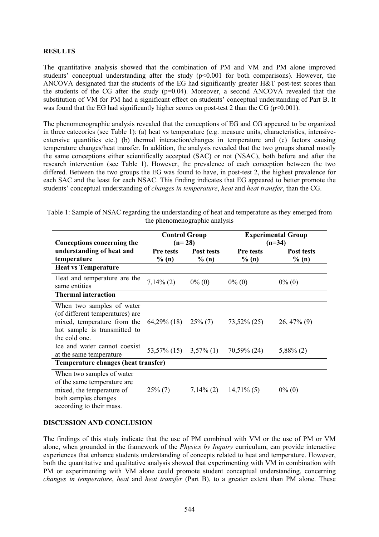# **RESULTS**

The quantitative analysis showed that the combination of PM and VM and PM alone improved students' conceptual understanding after the study  $(p<0.001$  for both comparisons). However, the ANCOVA designated that the students of the EG had significantly greater H&T post-test scores than the students of the CG after the study (p=0.04). Moreover, a second ANCOVA revealed that the substitution of VM for PM had a significant effect on students' conceptual understanding of Part B. It was found that the EG had significantly higher scores on post-test 2 than the CG ( $p<0.001$ ).

The phenomenographic analysis revealed that the conceptions of EG and CG appeared to be organized in three catecories (see Table 1): (a) heat vs temperature (e.g. measure units, characteristics, intensiveextensive quantities etc.) (b) thermal interaction/changes in temperature and (c) factors causing temperature changes/heat transfer. In addition, the analysis revealed that the two groups shared mostly the same conceptions either scientifically accepted (SAC) or not (NSAC), both before and after the research intervention (see Table 1). However, the prevalence of each conception between the two differed. Between the two groups the EG was found to have, in post-test 2, the highest prevalence for each SAC and the least for each NSAC. This finding indicates that EG appeared to better promote the students' conceptual understanding of *changes in temperature*, *heat* and *heat transfer*, than the CG.

| Conceptions concerning the                                                                                                                                  | <b>Control Group</b><br>$(n=28)$ |                        | <b>Experimental Group</b><br>$(n=34)$ |                        |
|-------------------------------------------------------------------------------------------------------------------------------------------------------------|----------------------------------|------------------------|---------------------------------------|------------------------|
| understanding of heat and<br>temperature                                                                                                                    | Pre tests<br>% $(n)$             | Post tests<br>$\%$ (n) | <b>Pre</b> tests<br>$\%$ (n)          | Post tests<br>$\%$ (n) |
| <b>Heat vs Temperature</b>                                                                                                                                  |                                  |                        |                                       |                        |
| Heat and temperature are the<br>same entities                                                                                                               | $7,14\%$ (2)                     | $0\%$ (0)              | $0\%$ (0)                             | $0\%$ (0)              |
| <b>Thermal interaction</b>                                                                                                                                  |                                  |                        |                                       |                        |
| When two samples of water<br>(of different temperatures) are<br>mixed, temperature from the $64,29\%$ (18)<br>hot sample is transmitted to<br>the cold one. |                                  | $25\%$ (7)             | $73,52\%$ (25)                        | $26,47\%$ (9)          |
| Ice and water cannot coexist<br>at the same temperature                                                                                                     | $53,57\%$ (15) $3,57\%$ (1)      |                        | 70,59% (24)                           | $5,88\%$ (2)           |
| Temperature changes (heat transfer)                                                                                                                         |                                  |                        |                                       |                        |
| When two samples of water<br>of the same temperature are<br>mixed, the temperature of<br>both samples changes<br>according to their mass.                   | $25\%$ (7)                       | $7,14\%$ (2)           | $14,71\%$ (5)                         | $0\%$ (0)              |

Table 1: Sample of NSAC regarding the understanding of heat and temperature as they emerged from the phenomenographic analysis

# **DISCUSSION AND CONCLUSION**

The findings of this study indicate that the use of PM combined with VM or the use of PM or VM alone, when grounded in the framework of the *Physics by Inquiry* curriculum, can provide interactive experiences that enhance students understanding of concepts related to heat and temperature. However, both the quantitative and qualitative analysis showed that experimenting with VM in combination with PM or experimenting with VM alone could promote student conceptual understanding, concerning *changes in temperature*, *heat* and *heat transfer* (Part B), to a greater extent than PM alone. These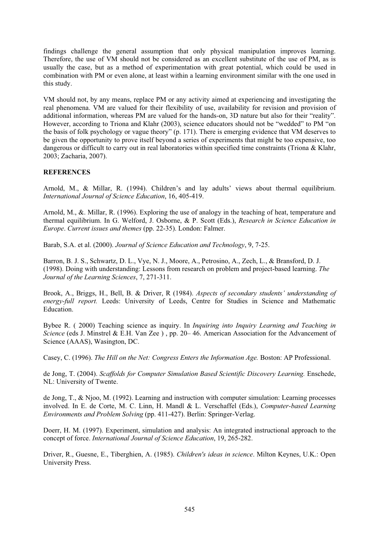findings challenge the general assumption that only physical manipulation improves learning. Therefore, the use of VM should not be considered as an excellent substitute of the use of PM, as is usually the case, but as a method of experimentation with great potential, which could be used in combination with PM or even alone, at least within a learning environment similar with the one used in this study.

VM should not, by any means, replace PM or any activity aimed at experiencing and investigating the real phenomena. VM are valued for their flexibility of use, availability for revision and provision of additional information, whereas PM are valued for the hands-on, 3D nature but also for their "reality". However, according to Triona and Klahr (2003), science educators should not be "wedded" to PM "on the basis of folk psychology or vague theory" (p. 171). There is emerging evidence that VM deserves to be given the opportunity to prove itself beyond a series of experiments that might be too expensive, too dangerous or difficult to carry out in real laboratories within specified time constraints (Triona & Klahr, 2003; Zacharia, 2007).

# **REFERENCES**

Arnold, M., & Millar, R. (1994). Children's and lay adults' views about thermal equilibrium. *International Journal of Science Education*, 16, 405-419.

Arnold, M., &. Millar, R. (1996). Exploring the use of analogy in the teaching of heat, temperature and thermal equilibrium. In G. Welford, J. Osborne, & P. Scott (Eds.), *Research in Science Education in Europe*. *Current issues and themes* (pp. 22-35). London: Falmer.

Barab, S.A. et al. (2000). *Journal of Science Education and Technology*, 9, 7-25.

Barron, B. J. S., Schwartz, D. L., Vye, N. J., Moore, A., Petrosino, A., Zech, L., & Bransford, D. J. (1998). Doing with understanding: Lessons from research on problem and project-based learning. *The Journal of the Learning Sciences*, 7, 271-311.

Brook, A., Briggs, H., Bell, B. & Driver, R (1984). *Aspects of secondary students' understanding of energy-full report.* Leeds: University of Leeds, Centre for Studies in Science and Mathematic Education.

Bybee R. ( 2000) Teaching science as inquiry. In *Inquiring into Inquiry Learning and Teaching in Science* (eds J. Minstrel & E.H. Van Zee), pp. 20–46. American Association for the Advancement of Science (AAAS), Wasington, DC.

Casey, C. (1996). *The Hill on the Net: Congress Enters the Information Age.* Boston: AP Professional.

de Jong, T. (2004). *Scaffolds for Computer Simulation Based Scientific Discovery Learning.* Enschede, NL: University of Twente.

de Jong, T., & Njoo, M. (1992). Learning and instruction with computer simulation: Learning processes involved. In E. de Corte, M. C. Linn, H. Mandl & L. Verschaffel (Eds.), *Computer-based Learning Environments and Problem Solving* (pp. 411-427). Berlin: Springer-Verlag.

Doerr, H. M. (1997). Experiment, simulation and analysis: An integrated instructional approach to the concept of force. *International Journal of Science Education*, 19, 265-282.

Driver, R., Guesne, E., Tiberghien, A. (1985). *Children's ideas in science*. Milton Keynes, U.K.: Open University Press.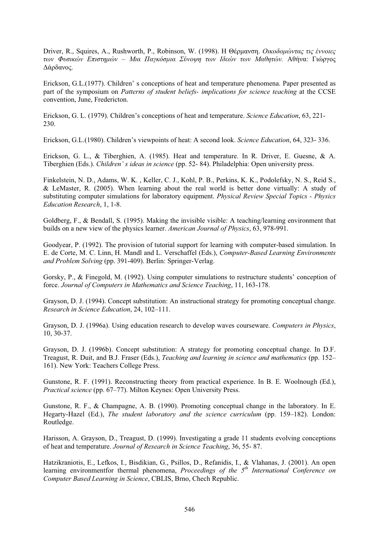Driver, R., Squires, A., Rushworth, P., Robinson, W. (1998). Η Θέρμανση. *Οικοδομώντας τις έννοιες* των Φυσικών Επιστημών – Μια Παγκόσμια Σύνοψη των Ιδεών των Μαθητών. Αθήνα: Γιώργος Δάρδανος.

Erickson, G.L.(1977). Children' s conceptions of heat and temperature phenomena. Paper presented as part of the symposium on *Patterns of student beliefs- implications for science teaching* at the CCSE convention, June, Fredericton.

Erickson, G. L. (1979). Children's conceptions of heat and temperature. *Science Education*, 63, 221- 230.

Erickson, G.L.(1980). Children's viewpoints of heat: A second look. *Science Education*, 64, 323- 336.

Erickson, G. L., & Tiberghien, A. (1985). Heat and temperature. In R. Driver, E. Guesne, & A. Tiberghien (Eds.). *Children' s ideas in science* (pp. 52- 84). Philadelphia: Open university press.

Finkelstein, N. D., Adams, W. K. , Keller, C. J., Kohl, P. B., Perkins, K. K., Podolefsky, N. S., Reid S., & LeMaster, R. (2005). When learning about the real world is better done virtually: A study of substituting computer simulations for laboratory equipment. *Physical Review Special Topics - Physics Education Research*, 1, 1-8.

Goldberg, F., & Bendall, S. (1995). Making the invisible visible: A teaching/learning environment that builds on a new view of the physics learner. *American Journal of Physics*, 63, 978-991.

Goodyear, P. (1992). The provision of tutorial support for learning with computer-based simulation. In E. de Corte, M. C. Linn, H. Mandl and L. Verschaffel (Eds.), *Computer-Based Learning Environments and Problem Solving* (pp. 391-409). Berlin: Springer-Verlag.

Gorsky, P., & Finegold, M. (1992). Using computer simulations to restructure students' conception of force. *Journal of Computers in Mathematics and Science Teaching*, 11, 163-178.

Grayson, D. J. (1994). Concept substitution: An instructional strategy for promoting conceptual change. *Research in Science Education*, 24, 102–111.

Grayson, D. J. (1996a). Using education research to develop waves courseware. *Computers in Physics*, 10, 30-37.

Grayson, D. J. (1996b). Concept substitution: A strategy for promoting conceptual change. In D.F. Treagust, R. Duit, and B.J. Fraser (Eds.), *Teaching and learning in science and mathematics* (pp. 152– 161). New York: Teachers College Press.

Gunstone, R. F. (1991). Reconstructing theory from practical experience. In B. E. Woolnough (Ed.), *Practical science* (pp. 67–77). Milton Keynes: Open University Press.

Gunstone, R. F., & Champagne, A. B. (1990). Promoting conceptual change in the laboratory. In E. Hegarty-Hazel (Ed.), *The student laboratory and the science curriculum* (pp. 159–182). London: Routledge.

Harisson, A. Grayson, D., Treagust, D. (1999). Investigating a grade 11 students evolving conceptions of heat and temperature. *Journal of Research in Science Teaching*, 36, 55- 87.

Hatzikraniotis, E., Lefkos, I., Bisdikian, G., Psillos, D., Refanidis, I., & Vlahanas, J. (2001). An open learning environmentfor thermal phenomena, *Proceedings of the 5th International Conference on Computer Based Learning in Science*, CBLIS, Brno, Chech Republic.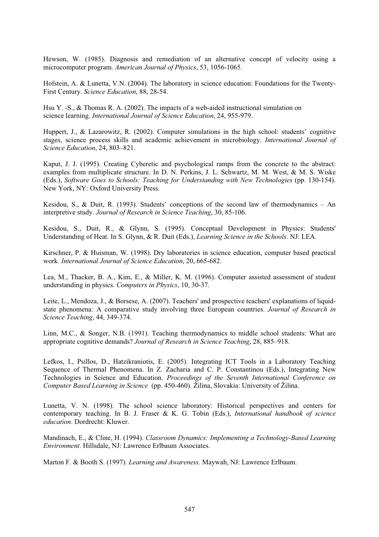Hewson, W. (1985). Diagnosis and remediation of an alternative concept of velocity using a microcomputer program. *American Journal of Physics*, 53, 1056-1065.

Hofstein, A. & Lunetta, V.N. (2004). The laboratory in science education: Foundations for the Twenty-First Century. *Science Education*, 88, 28-54.

Hsu Y. -S., & Thomas R. A. (2002). The impacts of a web-aided instructional simulation on science learning. *International Journal of Science Education*, 24, 955-979.

Huppert, J., & Lazarowitz, R. (2002). Computer simulations in the high school: students' cognitive stages, science process skills and academic achievement in microbiology. *International Journal of Science Education*, 24, 803–821.

Kaput, J. J. (1995). Creating Cyberetic and psychological ramps from the concrete to the abstract: examples from multiplicate structure. In D. N. Perkins, J. L. Schwartz, M. M. West, & M. S. Wiske (Eds.), *Software Goes to Schools: Teaching for Understanding with New Technologies* (pp. 130-154). New York, NY: Oxford University Press.

Kesidou, S., & Duit, R. (1993). Students' conceptions of the second law of thermodynamics – An interpretive study. *Journal of Research in Science Teaching*, 30, 85-106.

Kesidou, S., Duit, R., & Glynn, S. (1995). Conceptual Development in Physics: Students' Understanding of Heat. In S. Glynn, & R. Duit (Eds.), *Learning Science in the Schools*. NJ: LEA.

Kirschner, P. & Huisman, W. (1998). Dry laboratories in science education, computer based practical work. *International Journal of Science Education*, 20, 665-682.

Lea, M., Thacker, B. A., Kim, E., & Miller, K. M. (1996). Computer assisted assessment of student understanding in physics. *Computers in Physics*, 10, 30-37.

Leite, L., Mendoza, J., & Borsese, A. (2007). Teachers' and prospective teachers' explanations of liquidstate phenomena: A comparative study involving three European countries. *Journal of Research in Science Teaching*, 44, 349-374.

Linn, M.C., & Songer, N.B. (1991). Teaching thermodynamics to middle school students: What are appropriate cognitive demands? *Journal of Research in Science Teaching*, 28, 885–918.

Lefkos, I., Psillos, D., Hatzikraniotis, E. (2005). Integrating ICT Tools in a Laboratory Teaching Sequence of Thermal Phenomena. In Z. Zacharia and C. P. Constantinou (Eds.), Integrating New Technologies in Science and Education. *Proceedings of the Seventh International Conference on Computer Based Learning in Science* (pp. 450-460). Žilina, Slovakia: University of Žilina.

Lunetta, V. N. (1998). The school science laboratory: Historical perspectives and centers for contemporary teaching. In B. J. Fraser & K. G. Tobin (Eds.), *International handbook of science education*. Dordrecht: Kluwer.

Mandinach, E., & Cline, H. (1994). *Classroom Dynamics: Implementing a Technology-Based Learning Environment*. Hillsdale, NJ: Lawrence Erlbaum Associates.

Marton F. & Booth S. (1997). *Learning and Awareness*. Maywah, NJ: Lawrence Erlbaum.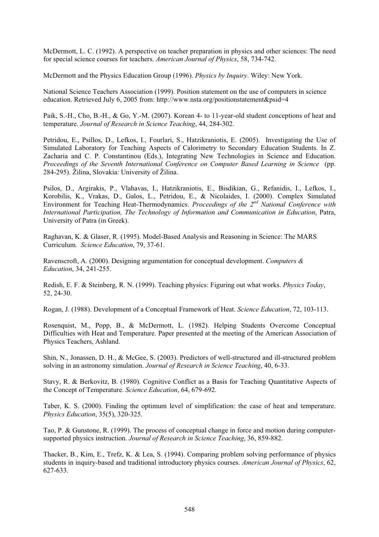McDermott, L. C. (1992). A perspective on teacher preparation in physics and other sciences: The need for special science courses for teachers. *American Journal of Physics*, 58, 734-742.

McDermott and the Physics Education Group (1996). *Physics by Inquiry*. Wiley: New York.

National Science Teachers Association (1999). Position statement on the use of computers in science education. Retrieved July 6, 2005 from: http://www.nsta.org/positionstatement&psid=4

Paik, S.-H., Cho, B.-H., & Go, Y.-M. (2007). Korean 4- to 11-year-old student conceptions of heat and temperature. *Journal of Research in Science Teaching*, 44, 284-302.

Petridou, E., Psillos, D., Lefkos, I., Fourlari, S., Hatzikraniotis, E. (2005). Investigating the Use of Simulated Laboratory for Teaching Aspects of Calorimetry to Secondary Education Students. In Z. Zacharia and C. P. Constantinou (Eds.), Integrating New Technologies in Science and Education. *Proceedings of the Seventh International Conference on Computer Based Learning in Science* (pp. 284-295). Žilina, Slovakia: University of Žilina.

Psilos, D., Argirakis, P., Vlahavas, I., Hatzikraniotis, E., Bisdikian, G., Refanidis, I., Lefkos, I., Korobilis, K., Vrakas, D., Galos, L., Petridou, E., & Nicolaides, I. (2000). Complex Simulated Environment for Teaching Heat-Thermodynamics. *Proceedings of the 2nd National Conference with International Participation, The Technology of Information and Communication in Education*, Patra, University of Patra (in Greek).

Raghavan, K. & Glaser, R. (1995). Model-Based Analysis and Reasoning in Science: The MARS Curriculum*. Science Education*, 79, 37-61.

Ravenscroft, A. (2000). Designing argumentation for conceptual development. *Computers & Education*, 34, 241-255.

Redish, E. F. & Steinberg, R. N. (1999). Teaching physics: Figuring out what works. *Physics Today*, 52, 24-30.

Rogan, J. (1988). Development of a Conceptual Framework of Heat. *Science Education*, 72, 103-113.

Rosenquist, M., Popp, B., & McDermott, L. (1982). Helping Students Overcome Conceptual Difficulties with Heat and Temperature. Paper presented at the meeting of the American Association of Physics Teachers, Ashland.

Shin, N., Jonassen, D. H., & McGee, S. (2003). Predictors of well-structured and ill-structured problem solving in an astronomy simulation. *Journal of Research in Science Teaching*, 40, 6-33.

Stavy, R. & Berkovitz, B. (1980). Cognitive Conflict as a Basis for Teaching Quantitative Aspects of the Concept of Temperature. *Science Education*, 64, 679-692.

Taber, K. S. (2000). Finding the optimum level of simplification: the case of heat and temperature. *Physics Education*, 35(5), 320-325.

Tao, P. & Gunstone, R. (1999). The process of conceptual change in force and motion during computersupported physics instruction. *Journal of Research in Science Teaching*, 36, 859-882.

Thacker, B., Kim, E., Trefz, K. & Lea, S. (1994). Comparing problem solving performance of physics students in inquiry-based and traditional introductory physics courses. *American Journal of Physics*, 62, 627-633.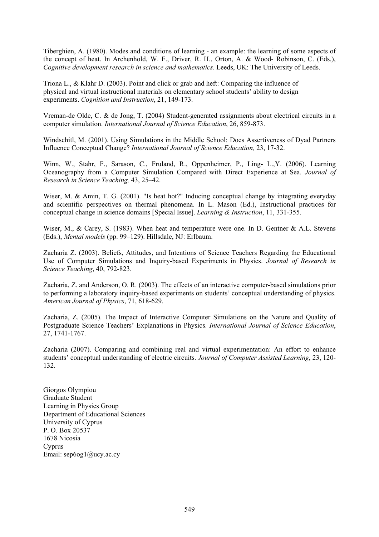Tiberghien, A. (1980). Modes and conditions of learning - an example: the learning of some aspects of the concept of heat. In Archenhold, W. F., Driver, R. H., Orton, A. & Wood- Robinson, C. (Eds.), *Cognitive development research in science and mathematics*. Leeds, UK: The University of Leeds.

Triona L., & Klahr D. (2003). Point and click or grab and heft: Comparing the influence of physical and virtual instructional materials on elementary school students' ability to design experiments. *Cognition and Instruction*, 21, 149-173.

Vreman-de Olde, C. & de Jong, T. (2004) Student-generated assignments about electrical circuits in a computer simulation. *International Journal of Science Education*, 26, 859-873.

Windschitl, M. (2001). Using Simulations in the Middle School: Does Assertiveness of Dyad Partners Influence Conceptual Change? *International Journal of Science Education,* 23, 17-32.

Winn, W., Stahr, F., Sarason, C., Fruland, R., Oppenheimer, P., Ling- L.,Y. (2006). Learning Oceanography from a Computer Simulation Compared with Direct Experience at Sea. *Journal of Research in Science Teaching,* 43, 25–42.

Wiser, M. & Amin, T. G. (2001). "Is heat hot?" Inducing conceptual change by integrating everyday and scientific perspectives on thermal phenomena. In L. Mason (Ed.), Instructional practices for conceptual change in science domains [Special Issue]. *Learning & Instruction*, 11, 331-355.

Wiser, M., & Carey, S. (1983). When heat and temperature were one. In D. Gentner & A.L. Stevens (Eds.), *Mental models* (pp. 99–129). Hillsdale, NJ: Erlbaum.

Zacharia Z. (2003). Beliefs, Attitudes, and Intentions of Science Teachers Regarding the Educational Use of Computer Simulations and Inquiry-based Experiments in Physics. *Journal of Research in Science Teaching*, 40, 792-823.

Zacharia, Z. and Anderson, O. R. (2003). The effects of an interactive computer-based simulations prior to performing a laboratory inquiry-based experiments on students' conceptual understanding of physics. *American Journal of Physics*, 71, 618-629.

Zacharia, Z. (2005). The Impact of Interactive Computer Simulations on the Nature and Quality of Postgraduate Science Teachers' Explanations in Physics. *International Journal of Science Education*, 27, 1741-1767.

Zacharia (2007). Comparing and combining real and virtual experimentation: An effort to enhance students' conceptual understanding of electric circuits. *Journal of Computer Assisted Learning*, 23, 120- 132.

Giorgos Olympiou Graduate Student Learning in Physics Group Department of Educational Sciences University of Cyprus P. O. Box 20537 1678 Nicosia Cyprus Email: sep6og1@ucy.ac.cy